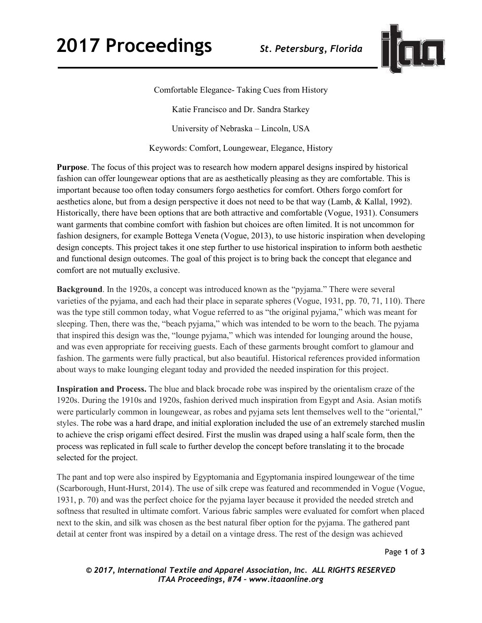

Comfortable Elegance- Taking Cues from History

Katie Francisco and Dr. Sandra Starkey

University of Nebraska – Lincoln, USA

Keywords: Comfort, Loungewear, Elegance, History

**Purpose**. The focus of this project was to research how modern apparel designs inspired by historical fashion can offer loungewear options that are as aesthetically pleasing as they are comfortable. This is important because too often today consumers forgo aesthetics for comfort. Others forgo comfort for aesthetics alone, but from a design perspective it does not need to be that way (Lamb, & Kallal, 1992). Historically, there have been options that are both attractive and comfortable (Vogue, 1931). Consumers want garments that combine comfort with fashion but choices are often limited. It is not uncommon for fashion designers, for example Bottega Veneta (Vogue, 2013), to use historic inspiration when developing design concepts. This project takes it one step further to use historical inspiration to inform both aesthetic and functional design outcomes. The goal of this project is to bring back the concept that elegance and comfort are not mutually exclusive.

**Background**. In the 1920s, a concept was introduced known as the "pyjama." There were several varieties of the pyjama, and each had their place in separate spheres (Vogue, 1931, pp. 70, 71, 110). There was the type still common today, what Vogue referred to as "the original pyjama," which was meant for sleeping. Then, there was the, "beach pyjama," which was intended to be worn to the beach. The pyjama that inspired this design was the, "lounge pyjama," which was intended for lounging around the house, and was even appropriate for receiving guests. Each of these garments brought comfort to glamour and fashion. The garments were fully practical, but also beautiful. Historical references provided information about ways to make lounging elegant today and provided the needed inspiration for this project.

**Inspiration and Process.** The blue and black brocade robe was inspired by the orientalism craze of the 1920s. During the 1910s and 1920s, fashion derived much inspiration from Egypt and Asia. Asian motifs were particularly common in loungewear, as robes and pyjama sets lent themselves well to the "oriental," styles. The robe was a hard drape, and initial exploration included the use of an extremely starched muslin to achieve the crisp origami effect desired. First the muslin was draped using a half scale form, then the process was replicated in full scale to further develop the concept before translating it to the brocade selected for the project.

The pant and top were also inspired by Egyptomania and Egyptomania inspired loungewear of the time (Scarborough, Hunt-Hurst, 2014). The use of silk crepe was featured and recommended in Vogue (Vogue, 1931, p. 70) and was the perfect choice for the pyjama layer because it provided the needed stretch and softness that resulted in ultimate comfort. Various fabric samples were evaluated for comfort when placed next to the skin, and silk was chosen as the best natural fiber option for the pyjama. The gathered pant detail at center front was inspired by a detail on a vintage dress. The rest of the design was achieved

*© 2017, International Textile and Apparel Association, Inc. ALL RIGHTS RESERVED ITAA Proceedings, #74 – www.itaaonline.org*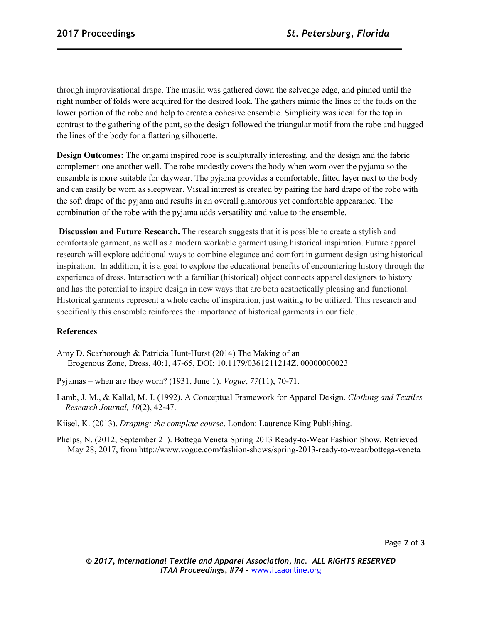through improvisational drape. The muslin was gathered down the selvedge edge, and pinned until the right number of folds were acquired for the desired look. The gathers mimic the lines of the folds on the lower portion of the robe and help to create a cohesive ensemble. Simplicity was ideal for the top in contrast to the gathering of the pant, so the design followed the triangular motif from the robe and hugged the lines of the body for a flattering silhouette.

**Design Outcomes:** The origami inspired robe is sculpturally interesting, and the design and the fabric complement one another well. The robe modestly covers the body when worn over the pyjama so the ensemble is more suitable for daywear. The pyjama provides a comfortable, fitted layer next to the body and can easily be worn as sleepwear. Visual interest is created by pairing the hard drape of the robe with the soft drape of the pyjama and results in an overall glamorous yet comfortable appearance. The combination of the robe with the pyjama adds versatility and value to the ensemble.

**Discussion and Future Research.** The research suggests that it is possible to create a stylish and comfortable garment, as well as a modern workable garment using historical inspiration. Future apparel research will explore additional ways to combine elegance and comfort in garment design using historical inspiration. In addition, it is a goal to explore the educational benefits of encountering history through the experience of dress. Interaction with a familiar (historical) object connects apparel designers to history and has the potential to inspire design in new ways that are both aesthetically pleasing and functional. Historical garments represent a whole cache of inspiration, just waiting to be utilized. This research and specifically this ensemble reinforces the importance of historical garments in our field.

## **References**

Amy D. Scarborough & Patricia Hunt-Hurst (2014) The Making of an Erogenous Zone, Dress, 40:1, 47-65, DOI: 10.1179/0361211214Z. 00000000023

Pyjamas – when are they worn? (1931, June 1). *Vogue*, *77*(11), 70-71.

Lamb, J. M., & Kallal, M. J. (1992). A Conceptual Framework for Apparel Design. *Clothing and Textiles Research Journal, 10*(2), 42-47.

Kiisel, K. (2013). *Draping: the complete course*. London: Laurence King Publishing.

Phelps, N. (2012, September 21). Bottega Veneta Spring 2013 Ready-to-Wear Fashion Show. Retrieved May 28, 2017, from http://www.vogue.com/fashion-shows/spring-2013-ready-to-wear/bottega-veneta